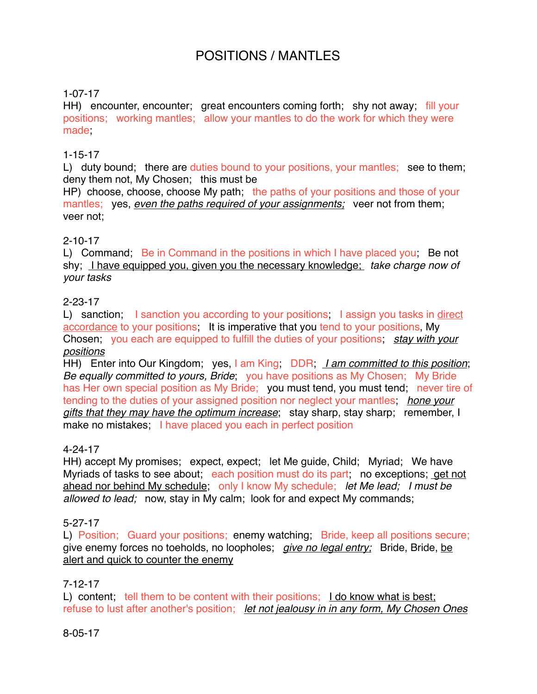# POSITIONS / MANTLES

## 1-07-17

HH) encounter, encounter; great encounters coming forth; shy not away; fill your positions; working mantles; allow your mantles to do the work for which they were made

### 1-15-17

L) duty bound; there are duties bound to your positions, your mantles; see to them; deny them not, My Chosen; this must be

HP) choose, choose, choose My path; the paths of your positions and those of your mantles; yes, *even the paths required of your assignments;* veer not from them; veer not;

#### 2-10-17

L) Command; Be in Command in the positions in which I have placed you; Be not shy; I have equipped you, given you the necessary knowledge; *take charge now of your tasks*

### 2-23-17

L) sanction; I sanction you according to your positions; I assign you tasks in direct accordance to your positions; It is imperative that you tend to your positions, My Chosen; you each are equipped to fulfill the duties of your positions; *stay with your positions*

HH) Enter into Our Kingdom; yes, I am King; DDR; *I am committed to this position*; *Be equally committed to yours, Bride*; you have positions as My Chosen; My Bride has Her own special position as My Bride; you must tend, you must tend; never tire of tending to the duties of your assigned position nor neglect your mantles; *hone your gifts that they may have the optimum increase*; stay sharp, stay sharp; remember, I make no mistakes; I have placed you each in perfect position

### 4-24-17

HH) accept My promises; expect, expect; let Me guide, Child; Myriad; We have Myriads of tasks to see about; each position must do its part; no exceptions; get not ahead nor behind My schedule; only I know My schedule; *let Me lead; I must be allowed to lead;* now, stay in My calm; look for and expect My commands;

### 5-27-17

L) Position; Guard your positions; enemy watching; Bride, keep all positions secure; give enemy forces no toeholds, no loopholes; *give no legal entry;* Bride, Bride, be alert and quick to counter the enemy

### 7-12-17

L) content; tell them to be content with their positions; I do know what is best; refuse to lust after another's position; *let not jealousy in in any form, My Chosen Ones*

#### 8-05-17